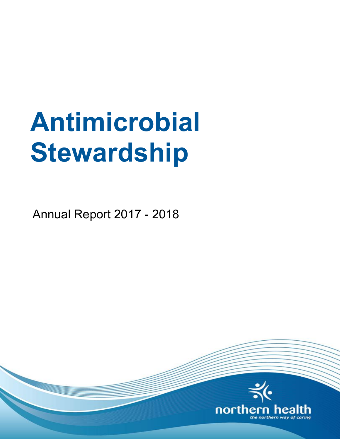# **Antimicrobial Stewardship**

Annual Report 2017 - 2018

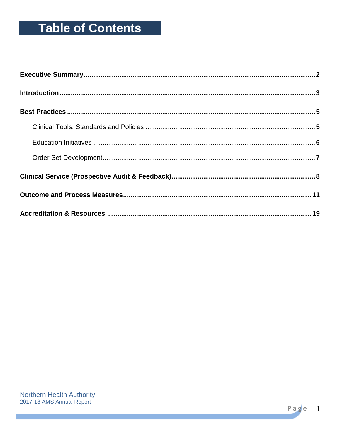# **Table of Contents**

Page | 1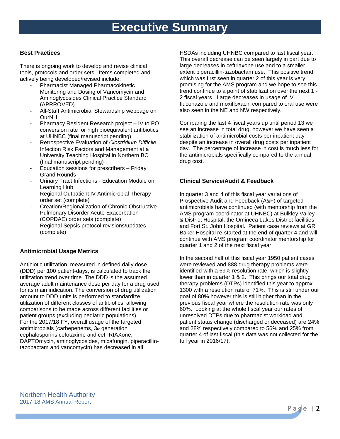# **Executive Summary**

#### **Best Practices**

There is ongoing work to develop and revise clinical tools, protocols and order sets. Items completed and actively being developed/revised include:

- Pharmacist Managed Pharmacokinetic Monitoring and Dosing of Vancomycin and Aminoglycosides Clinical Practice Standard (APRROVED)
- All-Staff Antimicrobial Stewardship webpage on OurNH
- Pharmacy Resident Research project IV to PO conversion rate for high bioequivalent antibiotics at UHNBC (final manuscript pending)
- Retrospective Evaluation of *Clostridium Difficile* Infection Risk Factors and Management at a University Teaching Hospital in Northern BC (final manuscript pending)
- Education sessions for prescribers Friday Grand Rounds
- Urinary Tract Infections Education Module on Learning Hub
- Regional Outpatient IV Antimicrobial Therapy order set (complete)
- Creation/Regionalization of Chronic Obstructive Pulmonary Disorder Acute Exacerbation (COPDAE) order sets (complete)
- Regional Sepsis protocol revisions/updates (complete)

#### **Antimicrobial Usage Metrics**

Antibiotic utilization, measured in defined daily dose (DDD) per 100 patient-days, is calculated to track the utilization trend over time. The DDD is the assumed average adult maintenance dose per day for a drug used for its main indication. The conversion of drug utilization amount to DDD units is performed to standardize utilization of different classes of antibiotics, allowing comparisons to be made across different facilities or patient groups (excluding pediatric populations). For the 2017/18 FY, overall usage of the targeted antimicrobials (carbepenems, 3rd generation cephalosporins cefotaxime and cefTRIAXone, DAPTOmycin, aminoglycosides, micafungin, piperacillintazobactam and vancomycin) has decreased in all

HSDAs including UHNBC compared to last fiscal year. This overall decrease can be seen largely in part due to large decreases in ceftriaxone use and to a smaller extent piperacillin-tazobactam use. This positive trend which was first seen in quarter 2 of this year is very promising for the AMS program and we hope to see this trend continue to a point of stabilization over the next 1 - 2 fiscal years. Large decreases in usage of IV fluconazole and moxifloxacin compared to oral use were also seen in the NE and NW respectively.

Comparing the last 4 fiscal years up until period 13 we see an increase in total drug, however we have seen a stabilization of antimicrobial costs per inpatient day despite an increase in overall drug costs per inpatient day. The percentage of increase in cost is much less for the antimicrobials specifically compared to the annual drug cost.

#### **Clinical Service/Audit & Feedback**

In quarter 3 and 4 of this fiscal year variations of Prospective Audit and Feedback (A&F) of targeted antimicrobials have continued (with mentorship from the AMS program coordinator at UHNBC) at Bulkley Valley & District Hospital, the Omineca Lakes District facilities and Fort St. John Hospital. Patient case reviews at GR Baker Hospital re-started at the end of quarter 4 and will continue with AMS program coordinator mentorship for quarter 1 and 2 of the next fiscal year.

In the second half of this fiscal year 1950 patient cases were reviewed and 888 drug therapy problems were identified with a 69% resolution rate, which is slightly lower than in quarter 1 & 2. This brings our total drug therapy problems (DTPs) identified this year to approx. 1300 with a resolution rate of 71%. This is still under our goal of 80% however this is still higher than in the previous fiscal year where the resolution rate was only 60%. Looking at the whole fiscal year our rates of unresolved DTPs due to pharmacist workload and patient status change (discharged or deceased) are 24% and 28% respectively compared to 56% and 25% from quarter 4 of last fiscal (this data was not collected for the full year in 2016/17).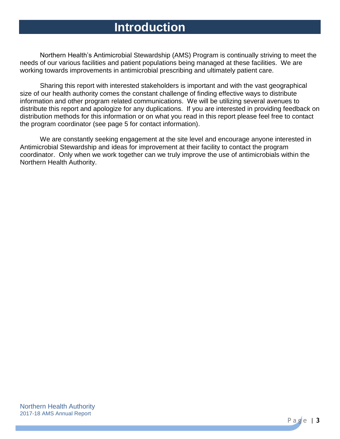# **Introduction**

Northern Health's Antimicrobial Stewardship (AMS) Program is continually striving to meet the needs of our various facilities and patient populations being managed at these facilities. We are working towards improvements in antimicrobial prescribing and ultimately patient care.

Sharing this report with interested stakeholders is important and with the vast geographical size of our health authority comes the constant challenge of finding effective ways to distribute information and other program related communications. We will be utilizing several avenues to distribute this report and apologize for any duplications. If you are interested in providing feedback on distribution methods for this information or on what you read in this report please feel free to contact the program coordinator (see page 5 for contact information).

We are constantly seeking engagement at the site level and encourage anyone interested in Antimicrobial Stewardship and ideas for improvement at their facility to contact the program coordinator. Only when we work together can we truly improve the use of antimicrobials within the Northern Health Authority.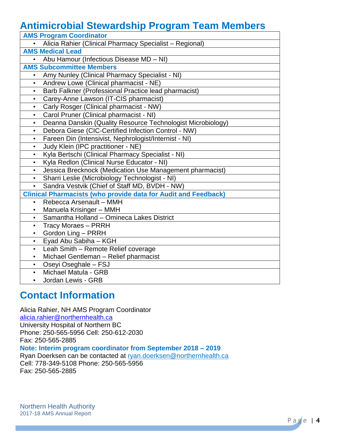## **Antimicrobial Stewardship Program Team Members**

| <b>AMS Program Coordinator</b>                                           |
|--------------------------------------------------------------------------|
| Alicia Rahier (Clinical Pharmacy Specialist - Regional)                  |
| <b>AMS Medical Lead</b>                                                  |
| Abu Hamour (Infectious Disease MD - NI)<br>$\bullet$                     |
| <b>AMS Subcommittee Members</b>                                          |
| Amy Nunley (Clinical Pharmacy Specialist - NI)                           |
| Andrew Lowe (Clinical pharmacist - NE)<br>$\bullet$                      |
| Barb Falkner (Professional Practice lead pharmacist)<br>$\bullet$        |
| Carey-Anne Lawson (IT-CIS pharmacist)<br>$\bullet$                       |
| Carly Rosger (Clinical pharmacist - NW)<br>$\bullet$                     |
| Carol Pruner (Clinical pharmacist - NI)<br>$\bullet$                     |
| Deanna Danskin (Quality Resource Technologist Microbiology)<br>$\bullet$ |
| Debora Giese (CIC-Certified Infection Control - NW)<br>$\bullet$         |
| Fareen Din (Intensivist, Nephrologist/Internist - NI)<br>$\bullet$       |
| Judy Klein (IPC practitioner - NE)<br>$\bullet$                          |
| Kyla Bertschi (Clinical Pharmacy Specialist - NI)<br>$\bullet$           |
| Kyla Redlon (Clinical Nurse Educator - NI)<br>$\bullet$                  |
| Jessica Brecknock (Medication Use Management pharmacist)                 |
| Sharri Leslie (Microbiology Technologist - NI)<br>$\bullet$              |
| Sandra Vestvik (Chief of Staff MD, BVDH - NW)<br>$\bullet$               |
| <b>Clinical Pharmacists (who provide data for Audit and Feedback)</b>    |
| Rebecca Arsenault - MMH<br>$\bullet$                                     |
| Manuela Krisinger - MMH<br>$\bullet$                                     |
| Samantha Holland - Omineca Lakes District<br>$\bullet$                   |
| <b>Tracy Moraes - PRRH</b><br>$\bullet$                                  |
| Gordon Ling - PRRH<br>$\bullet$                                          |
| Eyad Abu Sabiha - KGH<br>$\bullet$                                       |
| Leah Smith - Remote Relief coverage<br>$\bullet$                         |
| Michael Gentleman - Relief pharmacist<br>$\bullet$                       |
| Oseyi Oseghale - FSJ<br>$\bullet$                                        |
| Michael Matula - GRB<br>$\bullet$                                        |
| Jordan Lewis - GRB<br>$\bullet$                                          |

## **Contact Information**

Alicia Rahier, NH AMS Program Coordinator [alicia.rahier@northernhealth.ca](mailto:alicia.rahier@northernhealth.ca) University Hospital of Northern BC Phone: 250-565-5956 Cell: 250-612-2030 Fax: 250-565-2885 **Note: Interim program coordinator from September 2018 – 2019**

Ryan Doerksen can be contacted at [ryan.doerksen@northernhealth.ca](mailto:ryan.doerksen@northernhealth.ca) Cell: 778-349-5108 Phone: 250-565-5956 Fax: 250-565-2885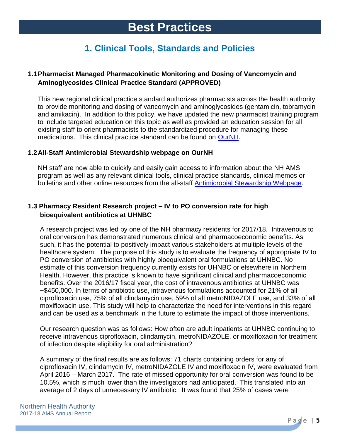## **1. Clinical Tools, Standards and Policies**

## **1.1Pharmacist Managed Pharmacokinetic Monitoring and Dosing of Vancomycin and Aminoglycosides Clinical Practice Standard (APPROVED)**

This new regional clinical practice standard authorizes pharmacists across the health authority to provide monitoring and dosing of vancomycin and aminoglycosides (gentamicin, tobramycin and amikacin). In addition to this policy, we have updated the new pharmacist training program to include targeted education on this topic as well as provided an education session for all existing staff to orient pharmacists to the standardized procedure for managing these medications. This clinical practice standard can be found on [OurNH.](https://ournh.northernhealth.ca/PoliciesProcedures/DST%20Published%20Policies/1-20-6-1-100.pdf)

## **1.2All-Staff Antimicrobial Stewardship webpage on OurNH**

NH staff are now able to quickly and easily gain access to information about the NH AMS program as well as any relevant clinical tools, clinical practice standards, clinical memos or bulletins and other online resources from the all-staff [Antimicrobial Stewardship Webpage.](https://ournh.northernhealth.ca/ClinicalPatientCare/Medications/Antimicrobial/Pages/default.aspx)

## **1.3 Pharmacy Resident Research project – IV to PO conversion rate for high bioequivalent antibiotics at UHNBC**

A research project was led by one of the NH pharmacy residents for 2017/18. Intravenous to oral conversion has demonstrated numerous clinical and pharmacoeconomic benefits. As such, it has the potential to positively impact various stakeholders at multiple levels of the healthcare system. The purpose of this study is to evaluate the frequency of appropriate IV to PO conversion of antibiotics with highly bioequivalent oral formulations at UHNBC. No estimate of this conversion frequency currently exists for UHNBC or elsewhere in Northern Health. However, this practice is known to have significant clinical and pharmacoeconomic benefits. Over the 2016/17 fiscal year, the cost of intravenous antibiotics at UHNBC was ~\$450,000. In terms of antibiotic use, intravenous formulations accounted for 21% of all ciprofloxacin use, 75% of all clindamycin use, 59% of all metroNIDAZOLE use, and 33% of all moxifloxacin use. This study will help to characterize the need for interventions in this regard and can be used as a benchmark in the future to estimate the impact of those interventions.

Our research question was as follows: How often are adult inpatients at UHNBC continuing to receive intravenous ciprofloxacin, clindamycin, metroNIDAZOLE, or moxifloxacin for treatment of infection despite eligibility for oral administration?

A summary of the final results are as follows: 71 charts containing orders for any of ciprofloxacin IV, clindamycin IV, metroNIDAZOLE IV and moxifloxacin IV, were evaluated from April 2016 – March 2017. The rate of missed opportunity for oral conversion was found to be 10.5%, which is much lower than the investigators had anticipated. This translated into an average of 2 days of unnecessary IV antibiotic. It was found that 25% of cases were

P a g e | **5**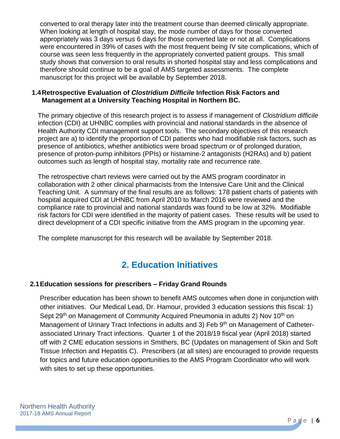converted to oral therapy later into the treatment course than deemed clinically appropriate. When looking at length of hospital stay, the mode number of days for those converted appropriately was 3 days versus 6 days for those converted late or not at all. Complications were encountered in 39% of cases with the most frequent being IV site complications, which of course was seen less frequently in the appropriately converted patient groups. This small study shows that conversion to oral results in shorted hospital stay and less complications and therefore should continue to be a goal of AMS targeted assessments. The complete manuscript for this project will be available by September 2018.

## **1.4Retrospective Evaluation of** *Clostridium Difficile* **Infection Risk Factors and Management at a University Teaching Hospital in Northern BC.**

The primary objective of this research project is to assess if management of *Clostridium difficile* infection (CDI) at UHNBC complies with provincial and national standards in the absence of Health Authority CDI management support tools. The secondary objectives of this research project are a) to identify the proportion of CDI patients who had modifiable risk factors, such as presence of antibiotics, whether antibiotics were broad spectrum or of prolonged duration, presence of proton-pump inhibitors (PPIs) or histamine-2 antagonists (H2RAs) and b) patient outcomes such as length of hospital stay, mortality rate and recurrence rate.

The retrospective chart reviews were carried out by the AMS program coordinator in collaboration with 2 other clinical pharmacists from the Intensive Care Unit and the Clinical Teaching Unit. A summary of the final results are as follows: 178 patient charts of patients with hospital acquired CDI at UHNBC from April 2010 to March 2016 were reviewed and the compliance rate to provincial and national standards was found to be low at 32%. Modifiable risk factors for CDI were identified in the majority of patient cases. These results will be used to direct development of a CDI specific initiative from the AMS program in the upcoming year.

The complete manuscript for this research will be available by September 2018.

## **2. Education Initiatives**

## **2.1Education sessions for prescribers – Friday Grand Rounds**

Prescriber education has been shown to benefit AMS outcomes when done in conjunction with other initiatives. Our Medical Lead, Dr. Hamour, provided 3 education sessions this fiscal: 1) Sept 29<sup>th</sup> on Management of Community Acquired Pneumonia in adults 2) Nov 10<sup>th</sup> on Management of Urinary Tract Infections in adults and 3) Feb 9<sup>th</sup> on Management of Catheterassociated Urinary Tract infections. Quarter 1 of the 2018/19 fiscal year (April 2018) started off with 2 CME education sessions in Smithers, BC (Updates on management of Skin and Soft Tissue Infection and Hepatitis C). Prescribers (at all sites) are encouraged to provide requests for topics and future education opportunities to the AMS Program Coordinator who will work with sites to set up these opportunities.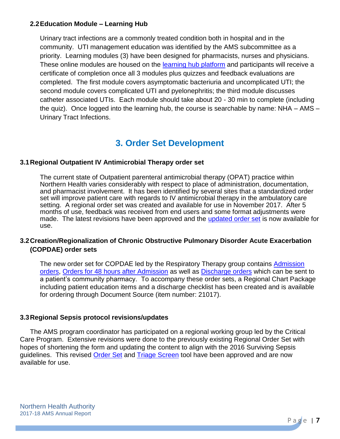## **2.2Education Module – Learning Hub**

Urinary tract infections are a commonly treated condition both in hospital and in the community. UTI management education was identified by the AMS subcommittee as a priority. Learning modules (3) have been designed for pharmacists, nurses and physicians. These online modules are housed on the [learning hub platform](https://learninghub.phsa.ca/Learner/Home) and participants will receive a certificate of completion once all 3 modules plus quizzes and feedback evaluations are completed. The first module covers asymptomatic bacteriuria and uncomplicated UTI; the second module covers complicated UTI and pyelonephritis; the third module discusses catheter associated UTIs. Each module should take about 20 - 30 min to complete (including the quiz). Once logged into the learning hub, the course is searchable by name: NHA – AMS – Urinary Tract Infections.

## **3. Order Set Development**

## **3.1Regional Outpatient IV Antimicrobial Therapy order set**

The current state of Outpatient parenteral antimicrobial therapy (OPAT) practice within Northern Health varies considerably with respect to place of administration, documentation, and pharmacist involvement. It has been identified by several sites that a standardized order set will improve patient care with regards to IV antimicrobial therapy in the ambulatory care setting. A regional order set was created and available for use in November 2017. After 5 months of use, feedback was received from end users and some format adjustments were made. The latest revisions have been approved and the [updated order set](https://ournh.northernhealth.ca/oursites/collaboration/ordersets/Documents/10-111-5051%20IV%20Antimicrobial%20Therapy%20for%20Outpatients%20and%20Home%20IV.pdf) is now available for use.

## **3.2Creation/Regionalization of Chronic Obstructive Pulmonary Disorder Acute Exacerbation (COPDAE) order sets**

The new order set for COPDAE led by the Respiratory Therapy group contains [Admission](https://ournh.northernhealth.ca/oursites/collaboration/ordersets/Documents/10-111-5219%20COPD%20Exacerbation%20Admission%20Orders.pdf)  [orders,](https://ournh.northernhealth.ca/oursites/collaboration/ordersets/Documents/10-111-5219%20COPD%20Exacerbation%20Admission%20Orders.pdf) [Orders for 48 hours after Admission](https://ournh.northernhealth.ca/oursites/collaboration/ordersets/Documents/10-111-5220%20COPD%20Exacerbation%2048%20Hours%20after%20Admission%20Orders.pdf) as well as [Discharge orders](https://ournh.northernhealth.ca/oursites/collaboration/ordersets/Documents/10-111-5221%20COPD%20Exacerbation%20Discharge%20Orders.pdf) which can be sent to a patient's community pharmacy. To accompany these order sets, a Regional Chart Package including patient education items and a discharge checklist has been created and is available for ordering through Document Source (item number: 21017).

#### **3.3Regional Sepsis protocol revisions/updates**

The AMS program coordinator has participated on a regional working group led by the Critical Care Program. Extensive revisions were done to the previously existing Regional Order Set with hopes of shortening the form and updating the content to align with the 2016 Surviving Sepsis guidelines. This revised [Order Set](https://ournh.northernhealth.ca/oursites/collaboration/ordersets/Documents/10-111-5102%20Adult%20Sepsis%20Order%20Set.pdf) and [Triage Screen](https://v2.printsys.net/Client/NorthernHealth/NHFormPDF.aspx?itemID=10-020-5046&tobuf=1&Location=Cart) tool have been approved and are now available for use.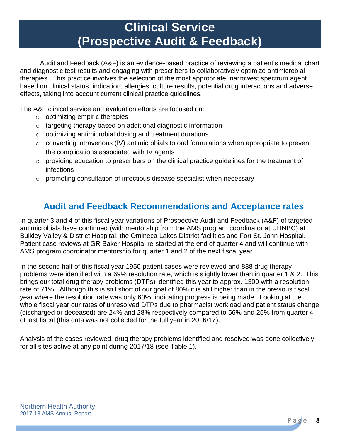# **Clinical Service (Prospective Audit & Feedback)**

Audit and Feedback (A&F) is an evidence-based practice of reviewing a patient's medical chart and diagnostic test results and engaging with prescribers to collaboratively optimize antimicrobial therapies. This practice involves the selection of the most appropriate, narrowest spectrum agent based on clinical status, indication, allergies, culture results, potential drug interactions and adverse effects, taking into account current clinical practice guidelines.

The A&F clinical service and evaluation efforts are focused on:

- $\circ$  optimizing empiric therapies
- o targeting therapy based on additional diagnostic information
- o optimizing antimicrobial dosing and treatment durations
- o converting intravenous (IV) antimicrobials to oral formulations when appropriate to prevent the complications associated with IV agents
- o providing education to prescribers on the clinical practice guidelines for the treatment of infections
- $\circ$  promoting consultation of infectious disease specialist when necessary

## **Audit and Feedback Recommendations and Acceptance rates**

In quarter 3 and 4 of this fiscal year variations of Prospective Audit and Feedback (A&F) of targeted antimicrobials have continued (with mentorship from the AMS program coordinator at UHNBC) at Bulkley Valley & District Hospital, the Omineca Lakes District facilities and Fort St. John Hospital. Patient case reviews at GR Baker Hospital re-started at the end of quarter 4 and will continue with AMS program coordinator mentorship for quarter 1 and 2 of the next fiscal year.

In the second half of this fiscal year 1950 patient cases were reviewed and 888 drug therapy problems were identified with a 69% resolution rate, which is slightly lower than in quarter 1 & 2. This brings our total drug therapy problems (DTPs) identified this year to approx. 1300 with a resolution rate of 71%. Although this is still short of our goal of 80% it is still higher than in the previous fiscal year where the resolution rate was only 60%, indicating progress is being made. Looking at the whole fiscal year our rates of unresolved DTPs due to pharmacist workload and patient status change (discharged or deceased) are 24% and 28% respectively compared to 56% and 25% from quarter 4 of last fiscal (this data was not collected for the full year in 2016/17).

Analysis of the cases reviewed, drug therapy problems identified and resolved was done collectively for all sites active at any point during 2017/18 (see Table 1).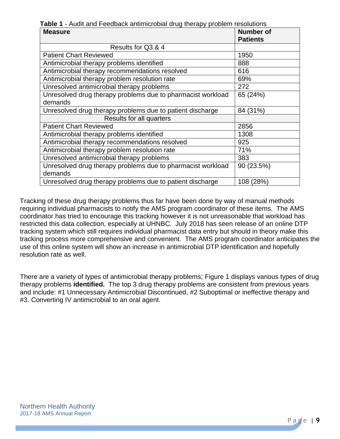**Table 1** - Audit and Feedback antimicrobial drug therapy problem resolutions

| <b>Measure</b>                                              | <b>Number of</b> |
|-------------------------------------------------------------|------------------|
|                                                             | <b>Patients</b>  |
| Results for Q3 & 4                                          |                  |
| <b>Patient Chart Reviewed</b>                               | 1950             |
| Antimicrobial therapy problems identified                   | 888              |
| Antimicrobial therapy recommendations resolved              | 616              |
| Antimicrobial therapy problem resolution rate               | 69%              |
| Unresolved antimicrobial therapy problems                   | 272              |
| Unresolved drug therapy problems due to pharmacist workload | 65 (24%)         |
| demands                                                     |                  |
| Unresolved drug therapy problems due to patient discharge   | 84 (31%)         |
| Results for all quarters                                    |                  |
| <b>Patient Chart Reviewed</b>                               | 2856             |
| Antimicrobial therapy problems identified                   | 1308             |
| Antimicrobial therapy recommendations resolved              | 925              |
| Antimicrobial therapy problem resolution rate               | 71%              |
| Unresolved antimicrobial therapy problems                   | 383              |
| Unresolved drug therapy problems due to pharmacist workload | 90 (23.5%)       |
| demands                                                     |                  |
| Unresolved drug therapy problems due to patient discharge   | 108 (28%)        |

Tracking of these drug therapy problems thus far have been done by way of manual methods requiring individual pharmacists to notify the AMS program coordinator of these items. The AMS coordinator has tried to encourage this tracking however it is not unreasonable that workload has restricted this data collection, especially at UHNBC. July 2018 has seen release of an online DTP tracking system which still requires individual pharmacist data entry but should in theory make this tracking process more comprehensive and convenient. The AMS program coordinator anticipates the use of this online system will show an increase in antimicrobial DTP identification and hopefully resolution rate as well.

There are a variety of types of antimicrobial therapy problems; Figure 1 displays various types of drug therapy problems **identified.** The top 3 drug therapy problems are consistent from previous years and include: #1 Unnecessary Antimicrobial Discontinued, #2 Suboptimal or ineffective therapy and #3. Converting IV antimicrobial to an oral agent.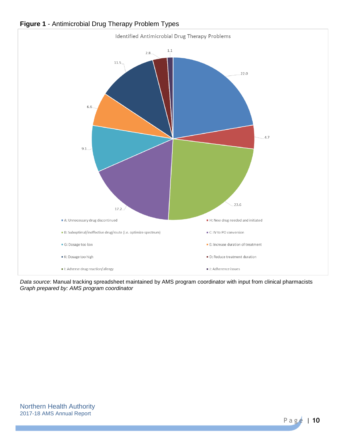

## **Figure 1** - Antimicrobial Drug Therapy Problem Types

*Data source*: Manual tracking spreadsheet maintained by AMS program coordinator with input from clinical pharmacists *Graph prepared by: AMS program coordinator*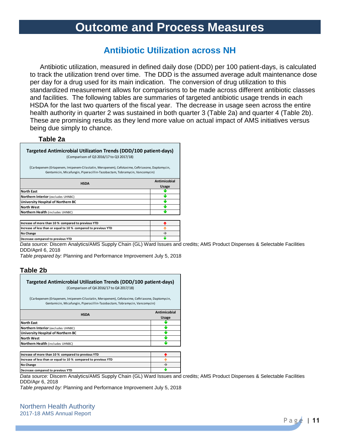# **Outcome and Process Measures**

## **Antibiotic Utilization across NH**

Antibiotic utilization, measured in defined daily dose (DDD) per 100 patient-days, is calculated to track the utilization trend over time. The DDD is the assumed average adult maintenance dose per day for a drug used for its main indication. The conversion of drug utilization to this standardized measurement allows for comparisons to be made across different antibiotic classes and facilities. The following tables are summaries of targeted antibiotic usage trends in each HSDA for the last two quarters of the fiscal year. The decrease in usage seen across the entire health authority in quarter 2 was sustained in both quarter 3 (Table 2a) and quarter 4 (Table 2b). These are promising results as they lend more value on actual impact of AMS initiatives versus being due simply to chance.

#### **Table 2a**

| Targeted Antimicrobial Utilization Trends (DDD/100 patient-days)<br>(Comparison of Q3 2016/17 to Q3 2017/18)                                                              |              |  |  |  |
|---------------------------------------------------------------------------------------------------------------------------------------------------------------------------|--------------|--|--|--|
| (Carbepenem (Ertapenem, Imipenem-Cilastatin, Meropenem), Cefotaxime, Ceftriaxone, Daptomycin,<br>Gentamicin, Micafungin, Piperacillin-Tazobactam, Tobramycin, Vancomycin) |              |  |  |  |
| <b>HSDA</b>                                                                                                                                                               | Antimicobial |  |  |  |
|                                                                                                                                                                           | <b>Usage</b> |  |  |  |
| <b>North East</b>                                                                                                                                                         |              |  |  |  |
| Northern Interior (excludes UHNBC)                                                                                                                                        |              |  |  |  |
| University Hospital of Northern BC                                                                                                                                        |              |  |  |  |
| <b>North West</b>                                                                                                                                                         |              |  |  |  |
| Northern Health (includes UHNBC)                                                                                                                                          | ш            |  |  |  |
| Increase of more than 10 % compared to previous YTD                                                                                                                       |              |  |  |  |
| Increase of less than or equal to 10 % compared to previous YTD                                                                                                           |              |  |  |  |
| <b>No Change</b>                                                                                                                                                          |              |  |  |  |

**Decrease compared to previous YTD**

*Data source:* Discern Analytics/AMS Supply Chain (GL) Ward Issues and credits; AMS Product Dispenses & Selectable Facilities DDD/April 6, 2018 J.

*Table prepared by:* Planning and Performance Improvement July 5, 2018

#### **Table 2b**

**No Change**

| Targeted Antimicrobial Utilization Trends (DDD/100 patient-days)<br>(Comparison of Q4 2016/17 to Q4 2017/18)                                                              |              |
|---------------------------------------------------------------------------------------------------------------------------------------------------------------------------|--------------|
| (Carbepenem (Ertapenem, Imipenem-Cilastatin, Meropenem), Cefotaxime, Ceftriaxone, Daptomycin,<br>Gentamicin, Micafungin, Piperacillin-Tazobactam, Tobramycin, Vancomycin) |              |
| <b>HSDA</b>                                                                                                                                                               | Antimicobial |
|                                                                                                                                                                           | <b>Usage</b> |
| <b>North East</b>                                                                                                                                                         |              |
| <b>Northern Interior (excludes UHNBC)</b>                                                                                                                                 |              |
| University Hospital of Northern BC                                                                                                                                        |              |
| <b>North West</b>                                                                                                                                                         |              |
| Northern Health (includes UHNBC)                                                                                                                                          |              |
| Increase of more than 10 % compared to previous YTD                                                                                                                       |              |
| Increase of less than or equal to 10 % compared to previous YTD                                                                                                           |              |

*Data source:* Discern Analytics/AMS Supply Chain (GL) Ward Issues and credits; AMS Product Dispenses & Selectable Facilities DDD/Apr 6, 2018 **Decrease compared to previous YTD** Ψ

 $\rightarrow$ 

*Table prepared by:* Planning and Performance Improvement July 5, 2018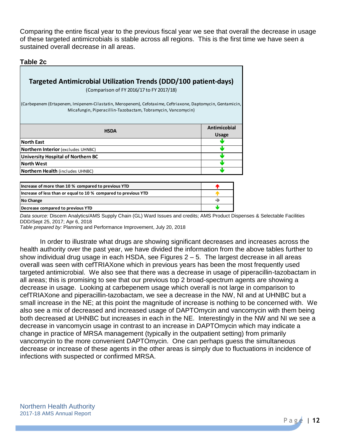Comparing the entire fiscal year to the previous fiscal year we see that overall the decrease in usage of these targeted antimicrobials is stable across all regions. This is the first time we have seen a sustained overall decrease in all areas.

#### **Table 2c**

| <b>Targeted Antimicrobial Utilization Trends (DDD/100 patient-days)</b>                                                                                                   |                              |
|---------------------------------------------------------------------------------------------------------------------------------------------------------------------------|------------------------------|
| (Comparison of FY 2016/17 to FY 2017/18)                                                                                                                                  |                              |
| (Carbepenem (Ertapenem, Imipenem-Cilastatin, Meropenem), Cefotaxime, Ceftriaxone, Daptomycin, Gentamicin,<br>Micafungin, Piperacillin-Tazobactam, Tobramycin, Vancomycin) |                              |
| <b>HSDA</b>                                                                                                                                                               | Antimicobial<br><b>Usage</b> |
| <b>North East</b>                                                                                                                                                         |                              |
| <b>Northern Interior</b> (excludes UHNBC)                                                                                                                                 | N.Z                          |
| <b>University Hospital of Northern BC</b>                                                                                                                                 |                              |
| North West                                                                                                                                                                | мW                           |
| <b>Northern Health</b> (includes UHNBC)                                                                                                                                   |                              |

| Increase of more than 10 % compared to previous YTD             |  |
|-----------------------------------------------------------------|--|
| Increase of less than or equal to 10 % compared to previous YTD |  |
| <b>No Change</b>                                                |  |
| Decrease compared to previous YTD                               |  |

*Data source:* Discern Analytics/AMS Supply Chain (GL) Ward Issues and credits; AMS Product Dispenses & Selectable Facilities DDD/Sept 25, 2017; Apr 6, 2018

*Table prepared by:* Planning and Performance Improvement, July 20, 2018

In order to illustrate what drugs are showing significant decreases and increases across the health authority over the past year, we have divided the information from the above tables further to show individual drug usage in each HSDA, see Figures  $2 - 5$ . The largest decrease in all areas overall was seen with cefTRIAXone which in previous years has been the most frequently used targeted antimicrobial. We also see that there was a decrease in usage of piperacillin-tazobactam in all areas; this is promising to see that our previous top 2 broad-spectrum agents are showing a decrease in usage. Looking at carbepenem usage which overall is not large in comparison to cefTRIAXone and piperacillin-tazobactam, we see a decrease in the NW, NI and at UHNBC but a small increase in the NE; at this point the magnitude of increase is nothing to be concerned with. We also see a mix of decreased and increased usage of DAPTOmycin and vancomycin with them being both decreased at UHNBC but increases in each in the NE. Interestingly in the NW and NI we see a decrease in vancomycin usage in contrast to an increase in DAPTOmycin which may indicate a change in practice of MRSA management (typically in the outpatient setting) from primarily vancomycin to the more convenient DAPTOmycin. One can perhaps guess the simultaneous decrease or increase of these agents in the other areas is simply due to fluctuations in incidence of infections with suspected or confirmed MRSA.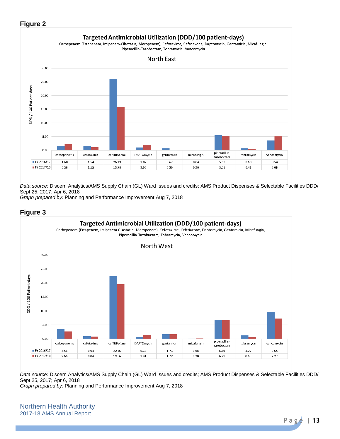## **Figure 2**



*Data source:* Discern Analytics/AMS Supply Chain (GL) Ward Issues and credits; AMS Product Dispenses & Selectable Facilities DDD/ Sept 25, 2017; Apr 6, 2018

*Graph prepared by:* Planning and Performance Improvement Aug 7, 2018



*Data source:* Discern Analytics/AMS Supply Chain (GL) Ward Issues and credits; AMS Product Dispenses & Selectable Facilities DDD/ Sept 25, 2017; Apr 6, 2018

*Graph prepared by:* Planning and Performance Improvement Aug 7, 2018

Northern Health Authority 2017-18 AMS Annual Report

## P a g e | **13**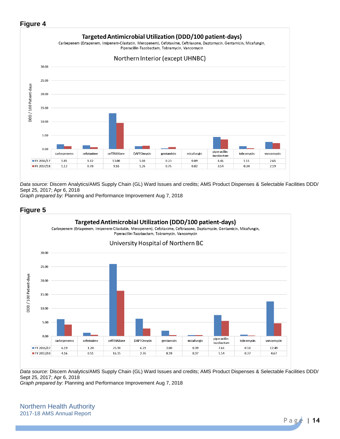## **Figure 4**



*Data source:* Discern Analytics/AMS Supply Chain (GL) Ward Issues and credits; AMS Product Dispenses & Selectable Facilities DDD/ Sept 25, 2017; Apr 6, 2018

*Graph prepared by:* Planning and Performance Improvement Aug 7, 2018



*Data source:* Discern Analytics/AMS Supply Chain (GL) Ward Issues and credits; AMS Product Dispenses & Selectable Facilities DDD/ Sept 25, 2017; Apr 6, 2018

*Graph prepared by:* Planning and Performance Improvement Aug 7, 2018

Northern Health Authority 2017-18 AMS Annual Report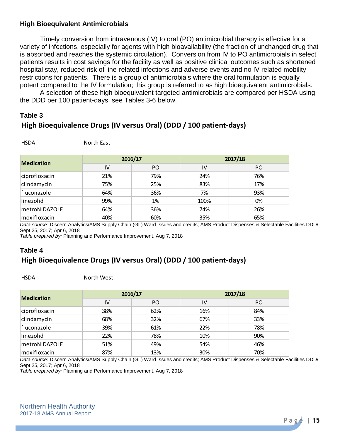## **High Bioequivalent Antimicrobials**

Timely conversion from intravenous (IV) to oral (PO) antimicrobial therapy is effective for a variety of infections, especially for agents with high bioavailability (the fraction of unchanged drug that is absorbed and reaches the systemic circulation). Conversion from IV to PO antimicrobials in select patients results in cost savings for the facility as well as positive clinical outcomes such as shortened hospital stay, reduced risk of line-related infections and adverse events and no IV related mobility restrictions for patients. There is a group of antimicrobials where the oral formulation is equally potent compared to the IV formulation; this group is referred to as high bioequivalent antimicrobials.

A selection of these high bioequivalent targeted antimicrobials are compared per HSDA using the DDD per 100 patient-days, see Tables 3-6 below.

## **Table 3 High Bioequivalence Drugs (IV versus Oral) (DDD / 100 patient-days)**

North East

| <b>Medication</b> | 2016/17 |     | 2017/18 |     |
|-------------------|---------|-----|---------|-----|
|                   | IV      | PO  | IV      | PO. |
| ciprofloxacin     | 21%     | 79% | 24%     | 76% |
| clindamycin       | 75%     | 25% | 83%     | 17% |
| fluconazole       | 64%     | 36% | 7%      | 93% |
| linezolid         | 99%     | 1%  | 100%    | 0%  |
| metroNIDAZOLE     | 64%     | 36% | 74%     | 26% |
| moxifloxacin      | 40%     | 60% | 35%     | 65% |

*Data source:* Discern Analytics/AMS Supply Chain (GL) Ward Issues and credits; AMS Product Dispenses & Selectable Facilities DDD/ Sept 25, 2017; Apr 6, 2018

*Table prepared by:* Planning and Performance Improvement, Aug 7, 2018

## **Table 4 High Bioequivalence Drugs (IV versus Oral) (DDD / 100 patient-days)**

HSDA North West

| <b>Medication</b> | 2016/17 |     | 2017/18 |     |
|-------------------|---------|-----|---------|-----|
|                   | IV      | PO. | IV      | PO. |
| ciprofloxacin     | 38%     | 62% | 16%     | 84% |
| clindamycin       | 68%     | 32% | 67%     | 33% |
| fluconazole       | 39%     | 61% | 22%     | 78% |
| linezolid         | 22%     | 78% | 10%     | 90% |
| metroNIDAZOLE     | 51%     | 49% | 54%     | 46% |
| moxifloxacin      | 87%     | 13% | 30%     | 70% |

*Data source:* Discern Analytics/AMS Supply Chain (GL) Ward Issues and credits; AMS Product Dispenses & Selectable Facilities DDD/ Sept 25, 2017; Apr 6, 2018

*Table prepared by:* Planning and Performance Improvement, Aug 7, 2018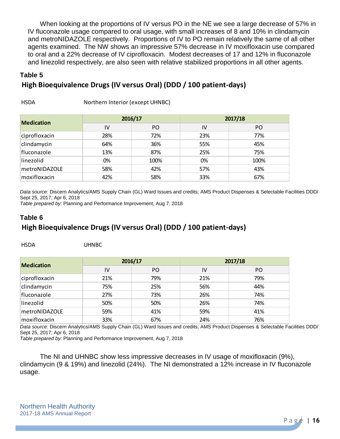When looking at the proportions of IV versus PO in the NE we see a large decrease of 57% in IV fluconazole usage compared to oral usage, with small increases of 8 and 10% in clindamycin and metroNIDAZOLE respectively. Proportions of IV to PO remain relatively the same of all other agents examined. The NW shows an impressive 57% decrease in IV moxifloxacin use compared to oral and a 22% decrease of IV ciprofloxacin. Modest decreases of 17 and 12% in fluconazole and linezolid respectively, are also seen with relative stabilized proportions in all other agents.

#### **Table 5**

## **High Bioequivalence Drugs (IV versus Oral) (DDD / 100 patient-days)**

| <b>HSDA</b> | Northern Interior (except UHNBC) |
|-------------|----------------------------------|
|             |                                  |

| <b>Medication</b> | 2016/17 |      | 2017/18 |      |
|-------------------|---------|------|---------|------|
|                   | IV      | PO.  | IV      | PO.  |
| ciprofloxacin     | 28%     | 72%  | 23%     | 77%  |
| clindamycin       | 64%     | 36%  | 55%     | 45%  |
| fluconazole       | 13%     | 87%  | 25%     | 75%  |
| linezolid         | 0%      | 100% | 0%      | 100% |
| metroNIDAZOLE     | 58%     | 42%  | 57%     | 43%  |
| moxifloxacin      | 42%     | 58%  | 33%     | 67%  |

*Data source:* Discern Analytics/AMS Supply Chain (GL) Ward Issues and credits; AMS Product Dispenses & Selectable Facilities DDD/ Sept 25, 2017; Apr 6, 2018

*Table prepared by:* Planning and Performance Improvement, Aug 7, 2018

## **Table 6 High Bioequivalence Drugs (IV versus Oral) (DDD / 100 patient-days)**

UHNBC

| <b>Medication</b> | 2016/17 |     | 2017/18 |     |
|-------------------|---------|-----|---------|-----|
|                   | IV      | PO. | IV      | PO  |
| ciprofloxacin     | 21%     | 79% | 21%     | 79% |
| clindamycin       | 75%     | 25% | 56%     | 44% |
| fluconazole       | 27%     | 73% | 26%     | 74% |
| linezolid         | 50%     | 50% | 26%     | 74% |
| metroNIDAZOLE     | 59%     | 41% | 59%     | 41% |
| moxifloxacin      | 33%     | 67% | 24%     | 76% |

*Data source:* Discern Analytics/AMS Supply Chain (GL) Ward Issues and credits; AMS Product Dispenses & Selectable Facilities DDD/ Sept 25, 2017; Apr 6, 2018

*Table prepared by:* Planning and Performance Improvement, Aug 7, 2018

The NI and UHNBC show less impressive decreases in IV usage of moxifloxacin (9%), clindamycin (9 & 19%) and linezolid (24%). The NI demonstrated a 12% increase in IV fluconazole usage.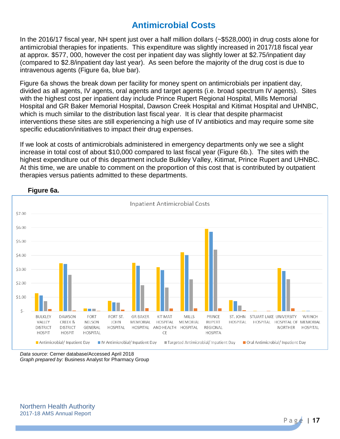## **Antimicrobial Costs**

In the 2016/17 fiscal year, NH spent just over a half million dollars (~\$528,000) in drug costs alone for antimicrobial therapies for inpatients. This expenditure was slightly increased in 2017/18 fiscal year at approx. \$577, 000, however the cost per inpatient day was slightly lower at \$2.75/inpatient day (compared to \$2.8/inpatient day last year). As seen before the majority of the drug cost is due to intravenous agents (Figure 6a, blue bar).

 Figure 6a shows the break down per facility for money spent on antimicrobials per inpatient day, divided as all agents, IV agents, oral agents and target agents (i.e. broad spectrum IV agents). Sites with the highest cost per inpatient day include Prince Rupert Regional Hospital, Mills Memorial Hospital and GR Baker Memorial Hospital, Dawson Creek Hospital and Kitimat Hospital and UHNBC, which is much similar to the distribution last fiscal year. It is clear that despite pharmacist interventions these sites are still experiencing a high use of IV antibiotics and may require some site specific education/initiatives to impact their drug expenses.

If we look at costs of antimicrobials administered in emergency departments only we see a slight increase in total cost of about \$10,000 compared to last fiscal year (Figure 6b.). The sites with the highest expenditure out of this department include Bulkley Valley, Kitimat, Prince Rupert and UHNBC. At this time, we are unable to comment on the proportion of this cost that is contributed by outpatient therapies versus patients admitted to these departments.



#### **Figure 6a.**

*Data source*: Cerner database/Accessed April 2018 *Graph prepared by:* Business Analyst for Pharmacy Group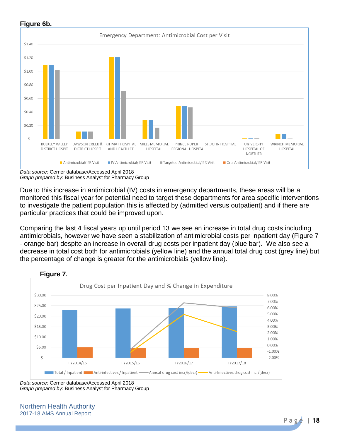

**Figure 6b.**

Due to this increase in antimicrobial (IV) costs in emergency departments, these areas will be a monitored this fiscal year for potential need to target these departments for area specific interventions to investigate the patient population this is affected by (admitted versus outpatient) and if there are particular practices that could be improved upon.

Comparing the last 4 fiscal years up until period 13 we see an increase in total drug costs including antimicrobials, however we have seen a stabilization of antimicrobial costs per inpatient day (Figure 7 - orange bar) despite an increase in overall drug costs per inpatient day (blue bar). We also see a decrease in total cost both for antimicrobials (yellow line) and the annual total drug cost (grey line) but the percentage of change is greater for the antimicrobials (yellow line).



**Figure 7.** 

*Data source*: Cerner database/Accessed April 2018 *Graph prepared by:* Business Analyst for Pharmacy Group

Northern Health Authority 2017-18 AMS Annual Report

*Data source*: Cerner database/Accessed April 2018 *Graph prepared by:* Business Analyst for Pharmacy Group